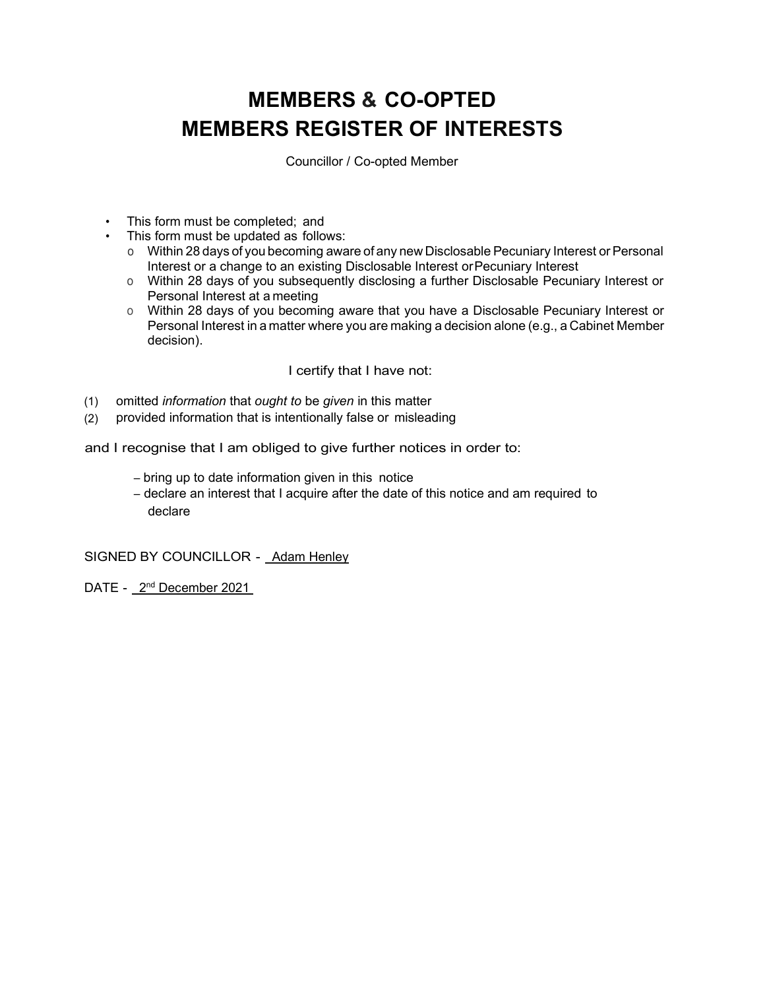# MEMBERS & CO-OPTED MEMBERS REGISTER OF INTERESTS

Councillor / Co-opted Member

- This form must be completed; and
- This form must be updated as follows:
	- o Within 28 days of you becoming aware of any new Disclosable Pecuniary Interest or Personal Interest or a change to an existing Disclosable Interest or Pecuniary Interest
	- o Within 28 days of you subsequently disclosing a further Disclosable Pecuniary Interest or Personal Interest at a meeting
	- o Within 28 days of you becoming aware that you have a Disclosable Pecuniary Interest or Personal Interest in a matter where you are making a decision alone (e.g., a Cabinet Member decision).

I certify that I have not:

- (1) omitted information that ought to be given in this matter
- (2) provided information that is intentionally false or misleading

and I recognise that I am obliged to give further notices in order to:

- bring up to date information given in this notice
- declare an interest that I acquire after the date of this notice and am required to declare

SIGNED BY COUNCILLOR - Adam Henley

DATE - 2<sup>nd</sup> December 2021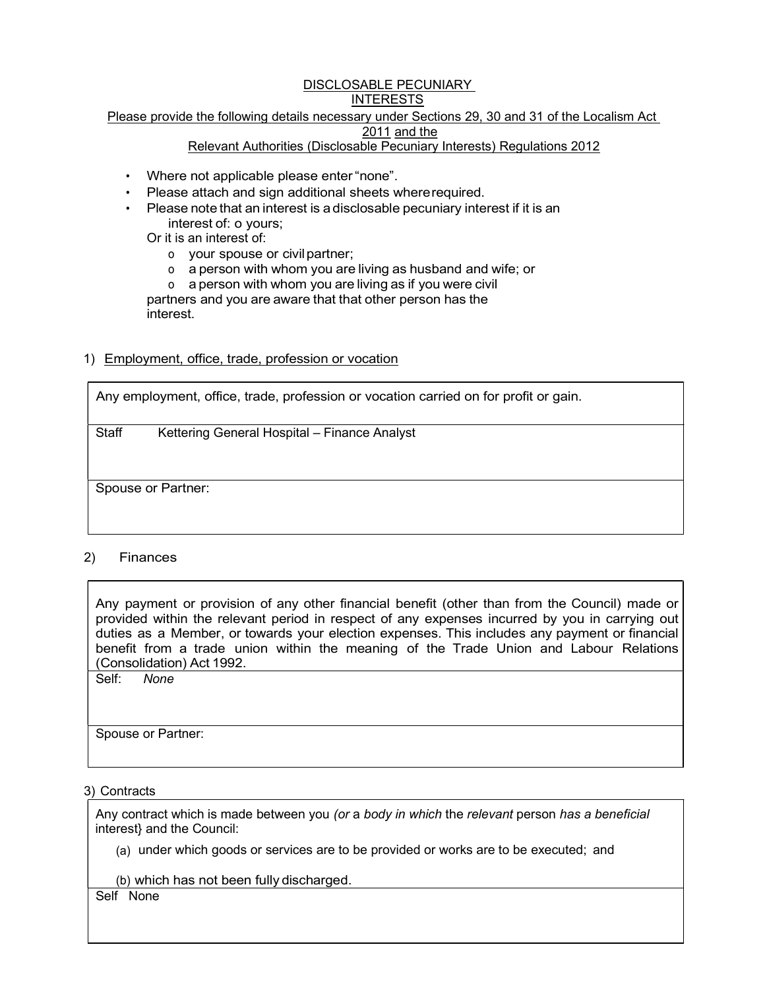#### DISCLOSABLE PECUNIARY INTERESTS

# Please provide the following details necessary under Sections 29, 30 and 31 of the Localism Act

# 2011 and the

# Relevant Authorities (Disclosable Pecuniary Interests) Regulations 2012

- Where not applicable please enter "none".
- Please attach and sign additional sheets where required.
- Please note that an interest is a disclosable pecuniary interest if it is an interest of: o yours;
	- Or it is an interest of:
		- o your spouse or civil partner;
		- o a person with whom you are living as husband and wife; or

o a person with whom you are living as if you were civil partners and you are aware that that other person has the interest.

# 1) Employment, office, trade, profession or vocation

Any employment, office, trade, profession or vocation carried on for profit or gain.

Staff Kettering General Hospital – Finance Analyst

Spouse or Partner:

# 2) Finances

Any payment or provision of any other financial benefit (other than from the Council) made or provided within the relevant period in respect of any expenses incurred by you in carrying out duties as a Member, or towards your election expenses. This includes any payment or financial benefit from a trade union within the meaning of the Trade Union and Labour Relations (Consolidation) Act 1992.

Self: None

Spouse or Partner:

3) Contracts

Any contract which is made between you (or a body in which the relevant person has a beneficial interest} and the Council:

(a) under which goods or services are to be provided or works are to be executed; and

(b) which has not been fully discharged.

Self None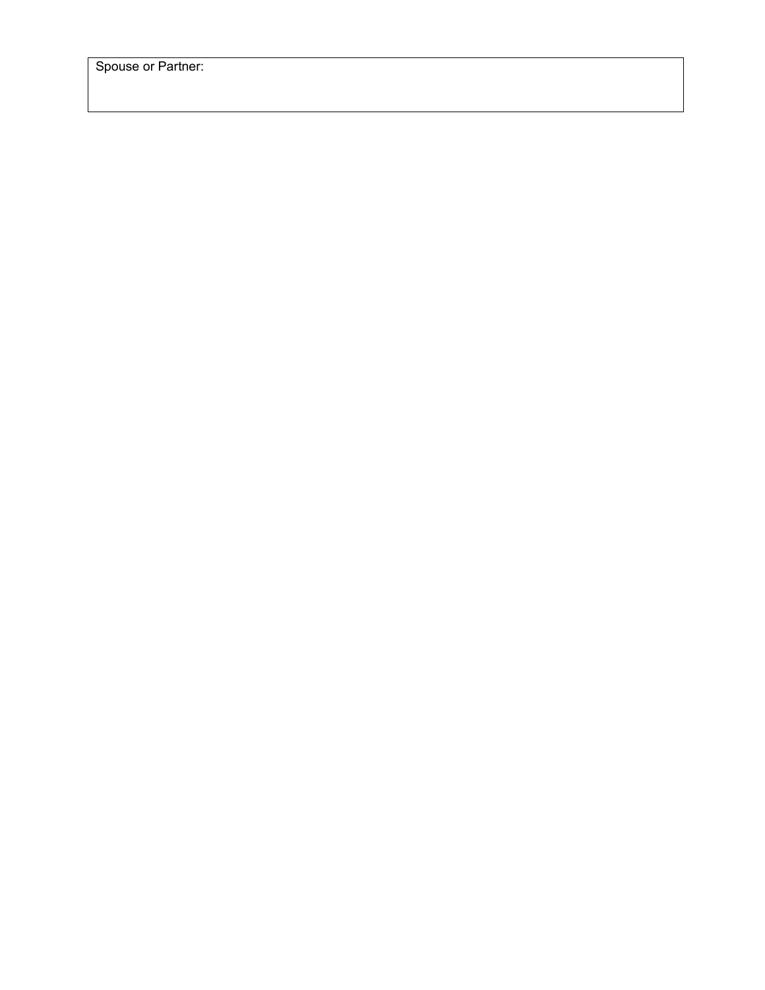Spouse or Partner: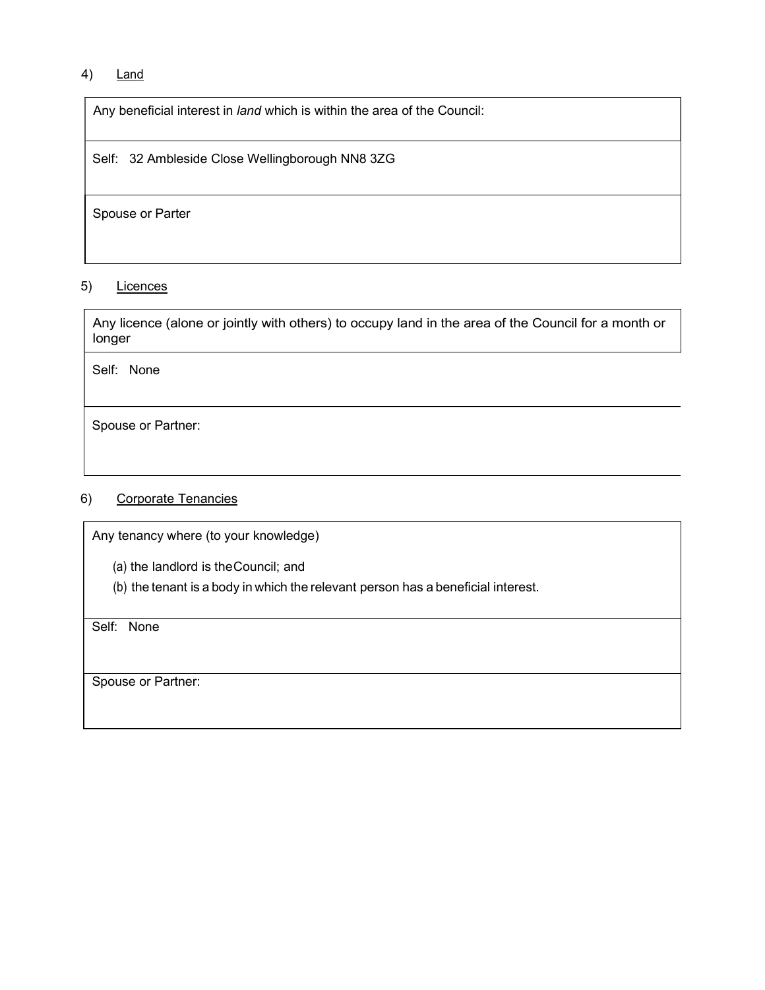# 4) Land

Any beneficial interest in *land* which is within the area of the Council:

Self: 32 Ambleside Close Wellingborough NN8 3ZG

Spouse or Parter

## 5) Licences

Any licence (alone or jointly with others) to occupy land in the area of the Council for a month or longer

Self: None

Spouse or Partner:

#### 6) Corporate Tenancies

Any tenancy where (to your knowledge)

(a) the landlord is the Council; and

(b) the tenant is a body in which the relevant person has a beneficial interest.

Self: None

Spouse or Partner: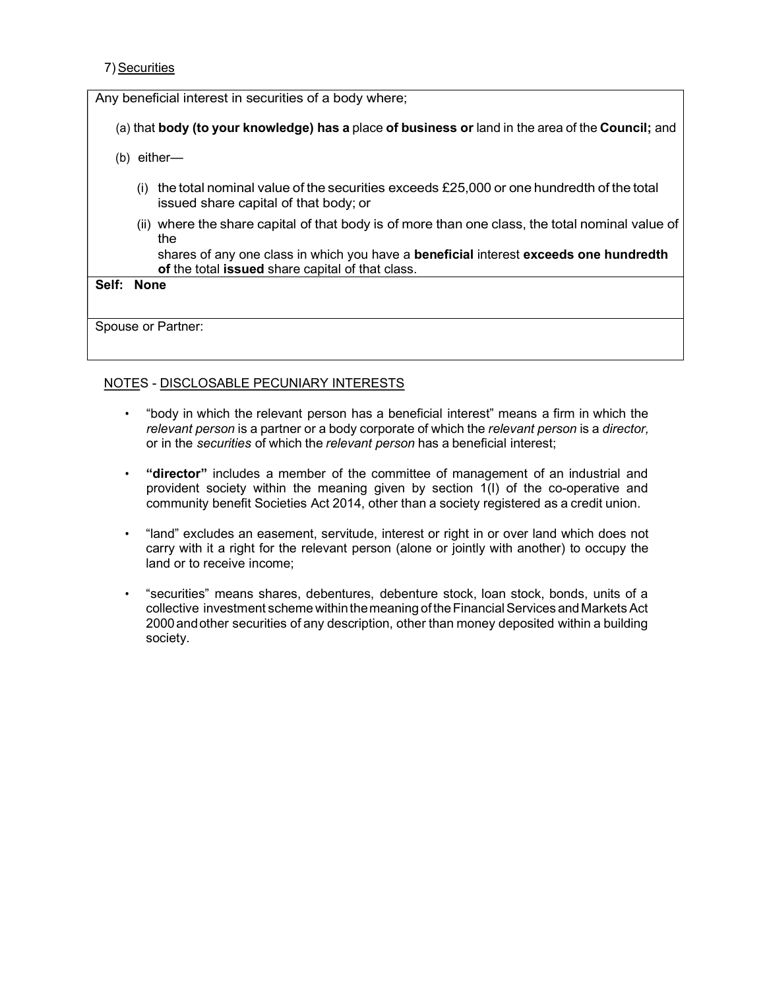#### 7) Securities

Any beneficial interest in securities of a body where;

- (a) that body (to your knowledge) has a place of business or land in the area of the Council; and
- (b) either—
	- (i) the total nominal value of the securities exceeds £25,000 or one hundredth of the total issued share capital of that body; or
	- (ii) where the share capital of that body is of more than one class, the total nominal value of the state of the state of the state of the state of the state of the state of the state of the state of the state of the state of the state of the state of the state of the state of the state of the state of the state of t

shares of any one class in which you have a beneficial interest exceeds one hundredth of the total issued share capital of that class.

#### Self: None

Spouse or Partner:

# NOTES - DISCLOSABLE PECUNIARY INTERESTS

- "body in which the relevant person has a beneficial interest" means a firm in which the relevant person is a partner or a body corporate of which the relevant person is a director, or in the securities of which the relevant person has a beneficial interest;
- "director" includes a member of the committee of management of an industrial and provident society within the meaning given by section 1(I) of the co-operative and community benefit Societies Act 2014, other than a society registered as a credit union.
- "land" excludes an easement, servitude, interest or right in or over land which does not carry with it a right for the relevant person (alone or jointly with another) to occupy the land or to receive income;
- "securities" means shares, debentures, debenture stock, loan stock, bonds, units of a collective investment scheme within the meaning of the Financial Services and Markets Act 2000 and other securities of any description, other than money deposited within a building society.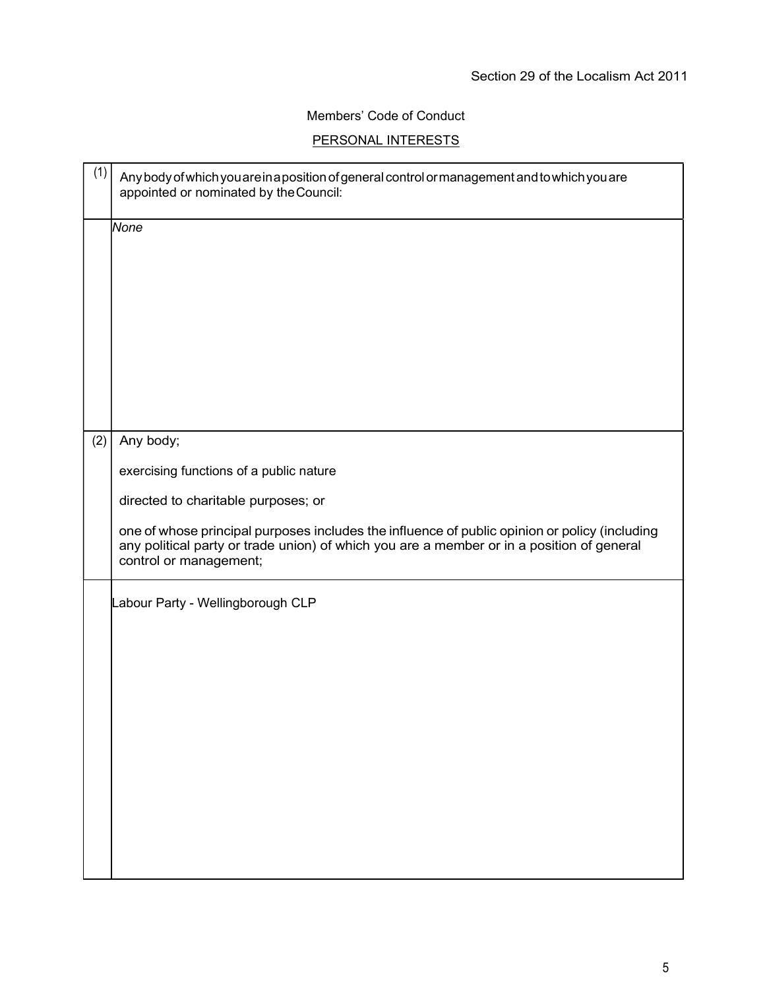# Members' Code of Conduct

# PERSONAL INTERESTS

| (1) | Any body of which you are in a position of general control or management and to which you are<br>appointed or nominated by the Council:                                                                                                                     |
|-----|-------------------------------------------------------------------------------------------------------------------------------------------------------------------------------------------------------------------------------------------------------------|
|     | None                                                                                                                                                                                                                                                        |
| (2) | Any body;<br>exercising functions of a public nature                                                                                                                                                                                                        |
|     | directed to charitable purposes; or<br>one of whose principal purposes includes the influence of public opinion or policy (including<br>any political party or trade union) of which you are a member or in a position of general<br>control or management; |
|     | Labour Party - Wellingborough CLP                                                                                                                                                                                                                           |
|     |                                                                                                                                                                                                                                                             |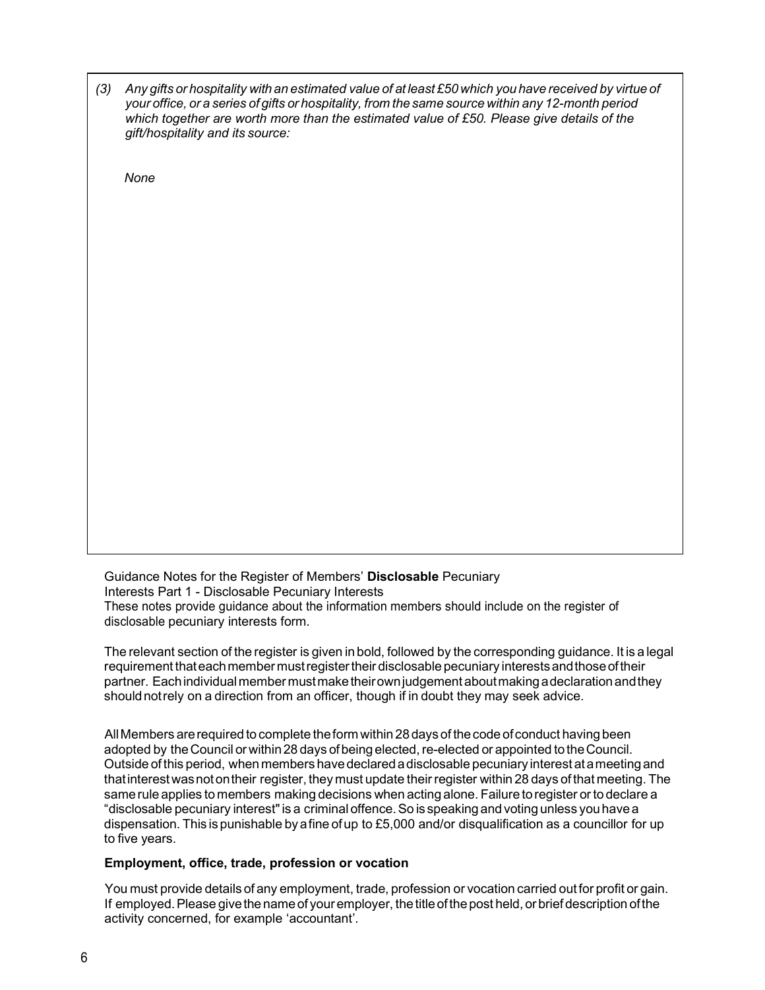| (3) Any gifts or hospitality with an estimated value of at least £50 which you have received by virtue of |  |
|-----------------------------------------------------------------------------------------------------------|--|
| your office, or a series of gifts or hospitality, from the same source within any 12-month period         |  |
| which together are worth more than the estimated value of £50. Please give details of the                 |  |
| gift/hospitality and its source:                                                                          |  |

**None** 

Guidance Notes for the Register of Members' Disclosable Pecuniary Interests Part 1 - Disclosable Pecuniary Interests These notes provide guidance about the information members should include on the register of disclosable pecuniary interests form.

The relevant section of the register is given in bold, followed by the corresponding guidance. It is a legal requirement that each member must register their disclosable pecuniary interests and those of their partner. Each individual member must make their own judgement about making a declaration and they should not rely on a direction from an officer, though if in doubt they may seek advice.

All Members are required to complete the form within 28 days of the code of conduct having been adopted by the Council or within 28 days of being elected, re-elected or appointed to the Council. Outside of this period, when members have declared a disclosable pecuniary interest at a meeting and that interest was not on their register, they must update their register within 28 days of that meeting. The same rule applies to members making decisions when acting alone. Failure to register or to declare a "disclosable pecuniary interest" is a criminal offence. So is speaking and voting unless you have a dispensation. This is punishable by a fine of up to £5,000 and/or disqualification as a councillor for up to five years.

#### Employment, office, trade, profession or vocation

You must provide details of any employment, trade, profession or vocation carried out for profit or gain. If employed. Please give the name of your employer, the title of the post held, or brief description of the activity concerned, for example 'accountant'.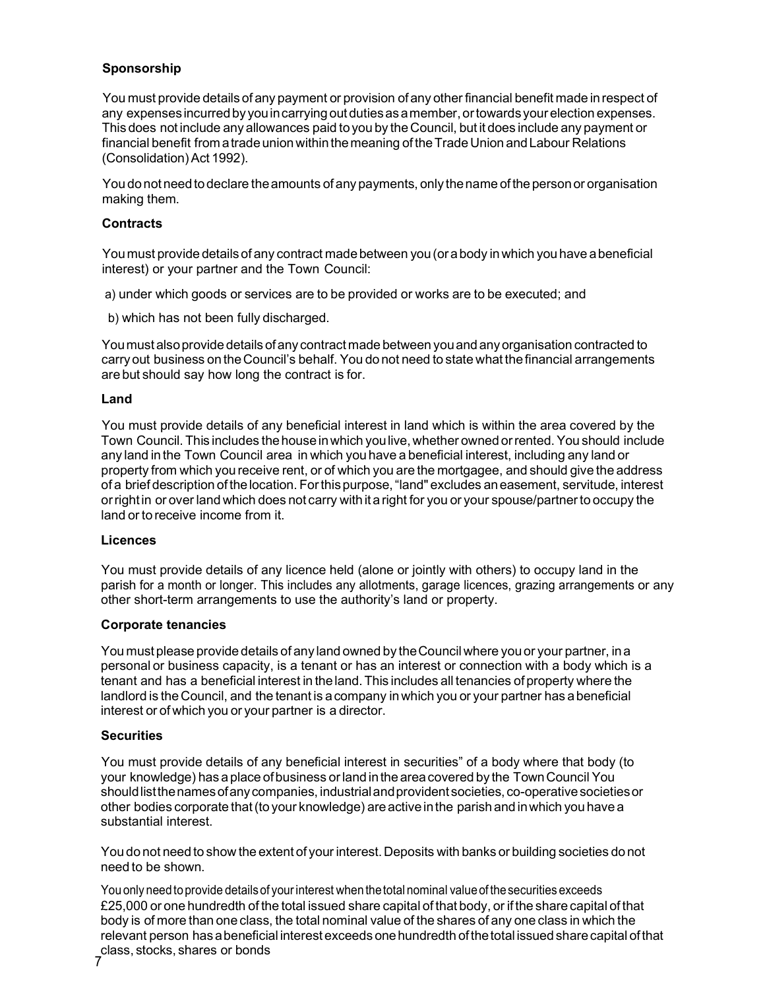# Sponsorship

You must provide details of any payment or provision of any other financial benefit made in respect of any expenses incurred by you in carrying out duties as a member, or towards your election expenses. This does not include any allowances paid to you by the Council, but it does include any payment or financial benefit from a trade union within the meaning of the Trade Union and Labour Relations (Consolidation) Act 1992).

You do not need to declare the amounts of any payments, only the name of the person or organisation making them.

#### **Contracts**

You must provide details of any contract made between you (or a body in which you have a beneficial interest) or your partner and the Town Council:

a) under which goods or services are to be provided or works are to be executed; and

b) which has not been fully discharged.

You must also provide details of any contract made between you and any organisation contracted to carry out business on the Council's behalf. You do not need to state what the financial arrangements are but should say how long the contract is for.

#### Land

You must provide details of any beneficial interest in land which is within the area covered by the Town Council. This includes the house in which you live, whether owned or rented. You should include any land in the Town Council area in which you have a beneficial interest, including any land or property from which you receive rent, or of which you are the mortgagee, and should give the address of a brief description of the location. For this purpose, "land" excludes an easement, servitude, interest or right in or over land which does not carry with it a right for you or your spouse/partner to occupy the land or to receive income from it.

#### **Licences**

You must provide details of any licence held (alone or jointly with others) to occupy land in the parish for a month or longer. This includes any allotments, garage licences, grazing arrangements or any other short-term arrangements to use the authority's land or property.

#### Corporate tenancies

You must please provide details of any land owned by the Council where you or your partner, in a personal or business capacity, is a tenant or has an interest or connection with a body which is a tenant and has a beneficial interest in the land. This includes all tenancies of property where the landlord is the Council, and the tenant is a company in which you or your partner has a beneficial interest or of which you or your partner is a director.

#### **Securities**

You must provide details of any beneficial interest in securities" of a body where that body (to your knowledge) has a place of business or land in the area covered by the Town Council You should list the names of any companies, industrial and provident societies, co-operative societies or other bodies corporate that (to your knowledge) are active in the parish and in which you have a substantial interest.

You do not need to show the extent of your interest. Deposits with banks or building societies do not need to be shown.

7 You only need to provide details of your interest when the total nominal value of the securities exceeds £25,000 or one hundredth of the total issued share capital of that body, or if the share capital of that body is of more than one class, the total nominal value of the shares of any one class in which the relevant person has a beneficial interest exceeds one hundredth of the total issued share capital of that class, stocks, shares or bonds